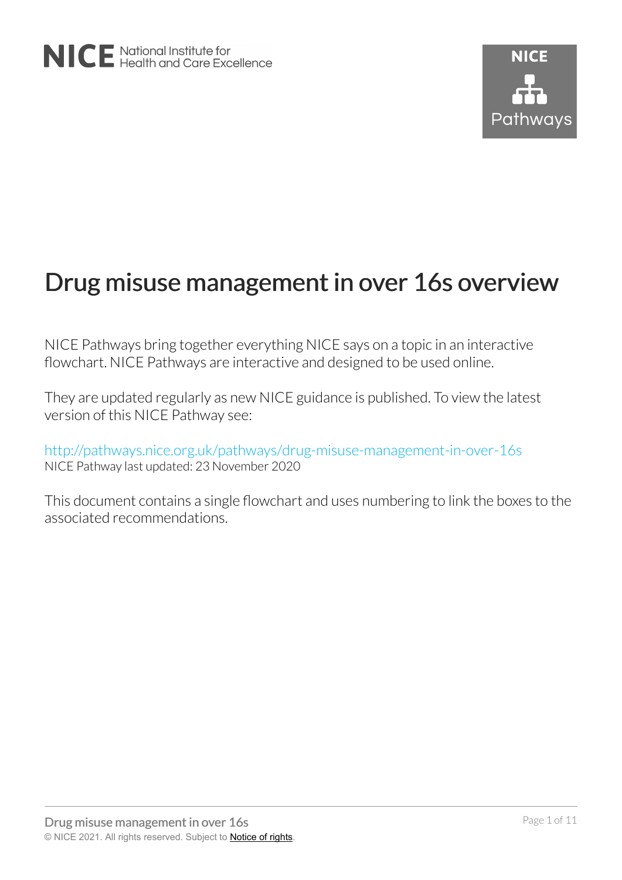# Drug misuse management in over 16s overview

NICE Pathways bring together everything NICE says on a topic in an interactive flowchart. NICE Pathways are interactive and designed to be used online.

They are updated regularly as new NICE guidance is published. To view the latest version of this NICE Pathway see:

<http://pathways.nice.org.uk/pathways/drug-misuse-management-in-over-16s> NICE Pathway last updated: 23 November 2020

This document contains a single flowchart and uses numbering to link the boxes to the associated recommendations.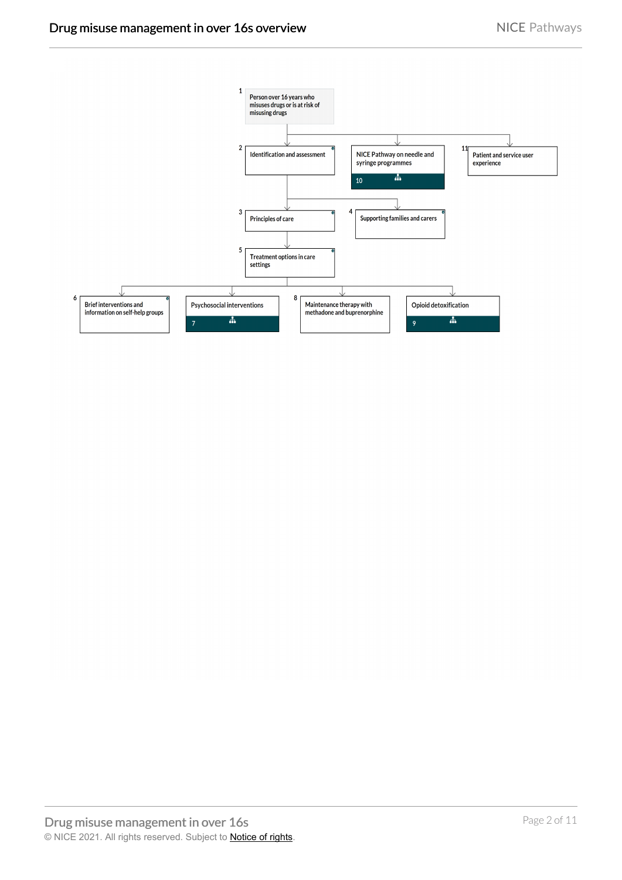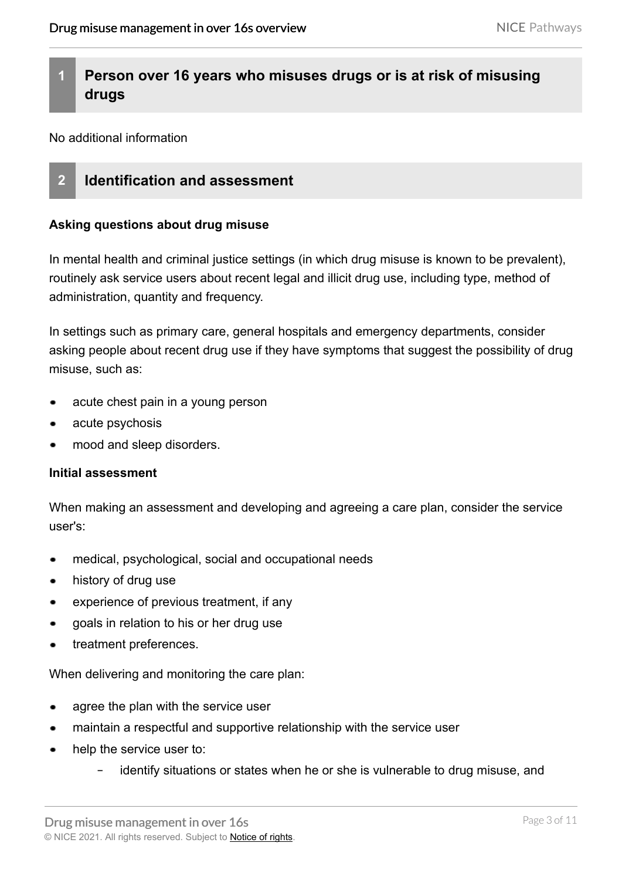# **1 Person over 16 years who misuses drugs or is at risk of misusing drugs**

No additional information

# **2 Identification and assessment**

#### **Asking questions about drug misuse**

In mental health and criminal justice settings (in which drug misuse is known to be prevalent), routinely ask service users about recent legal and illicit drug use, including type, method of administration, quantity and frequency.

In settings such as primary care, general hospitals and emergency departments, consider asking people about recent drug use if they have symptoms that suggest the possibility of drug misuse, such as:

- acute chest pain in a young person
- acute psychosis
- mood and sleep disorders.

#### **Initial assessment**

When making an assessment and developing and agreeing a care plan, consider the service user's:

- medical, psychological, social and occupational needs  $\bullet$
- history of drug use  $\bullet$
- experience of previous treatment, if any
- goals in relation to his or her drug use
- treatment preferences.

When delivering and monitoring the care plan:

- agree the plan with the service user
- maintain a respectful and supportive relationship with the service user
- help the service user to:  $\bullet$ 
	- identify situations or states when he or she is vulnerable to drug misuse, and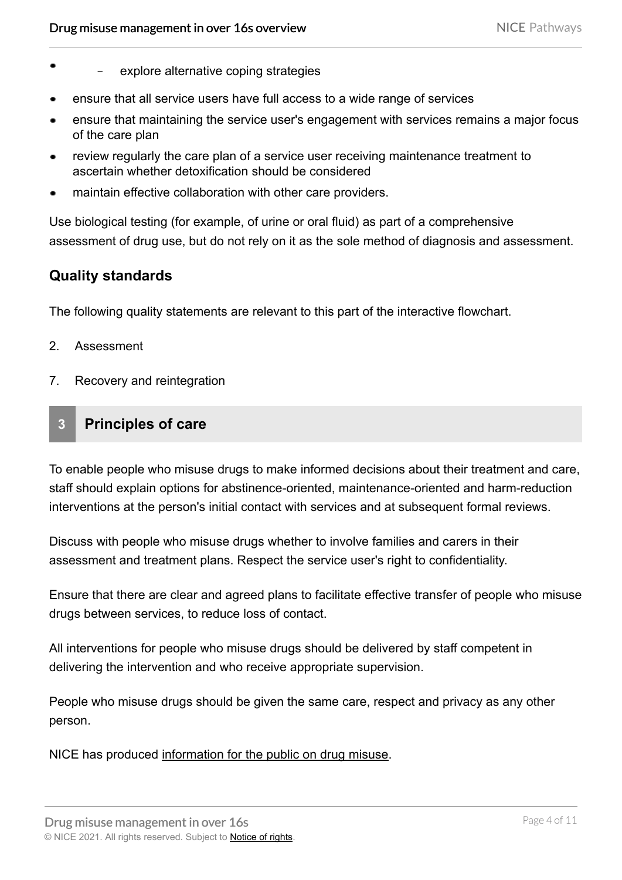- explore alternative coping strategies
- ensure that all service users have full access to a wide range of services
- ensure that maintaining the service user's engagement with services remains a major focus of the care plan
- review regularly the care plan of a service user receiving maintenance treatment to ascertain whether detoxification should be considered
- maintain effective collaboration with other care providers.

Use biological testing (for example, of urine or oral fluid) as part of a comprehensive assessment of drug use, but do not rely on it as the sole method of diagnosis and assessment.

## **Quality standards**

The following quality statements are relevant to this part of the interactive flowchart.

- 2. Assessment
- 7. Recovery and reintegration

#### **3 Principles of care**

To enable people who misuse drugs to make informed decisions about their treatment and care, staff should explain options for abstinence-oriented, maintenance-oriented and harm-reduction interventions at the person's initial contact with services and at subsequent formal reviews.

Discuss with people who misuse drugs whether to involve families and carers in their assessment and treatment plans. Respect the service user's right to confidentiality.

Ensure that there are clear and agreed plans to facilitate effective transfer of people who misuse drugs between services, to reduce loss of contact.

All interventions for people who misuse drugs should be delivered by staff competent in delivering the intervention and who receive appropriate supervision.

People who misuse drugs should be given the same care, respect and privacy as any other person.

NICE has produced [information for the public on drug misuse.](http://www.nice.org.uk/guidance/cg51/informationforpublic)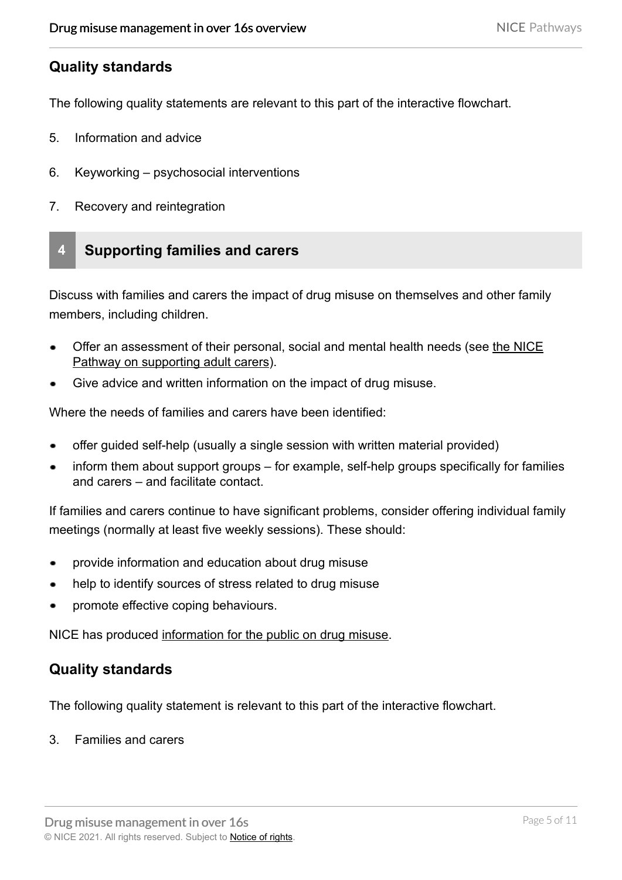## **Quality standards**

The following quality statements are relevant to this part of the interactive flowchart.

- 5. Information and advice
- 6. Keyworking psychosocial interventions
- 7. Recovery and reintegration

# **4 Supporting families and carers**

Discuss with families and carers the impact of drug misuse on themselves and other family members, including children.

- Offer an assessment of their personal, social and mental health needs (see [the NICE](https://pathways.nice.org.uk/pathways/supporting-adult-carers) [Pathway on supporting adult carers\)](https://pathways.nice.org.uk/pathways/supporting-adult-carers).
- Give advice and written information on the impact of drug misuse.

Where the needs of families and carers have been identified:

- offer guided self-help (usually a single session with written material provided)
- inform them about support groups for example, self-help groups specifically for families and carers – and facilitate contact.

If families and carers continue to have significant problems, consider offering individual family meetings (normally at least five weekly sessions). These should:

- provide information and education about drug misuse
- help to identify sources of stress related to drug misuse
- promote effective coping behaviours.

NICE has produced [information for the public on drug misuse.](http://www.nice.org.uk/guidance/cg51/informationforpublic)

## **Quality standards**

The following quality statement is relevant to this part of the interactive flowchart.

3. Families and carers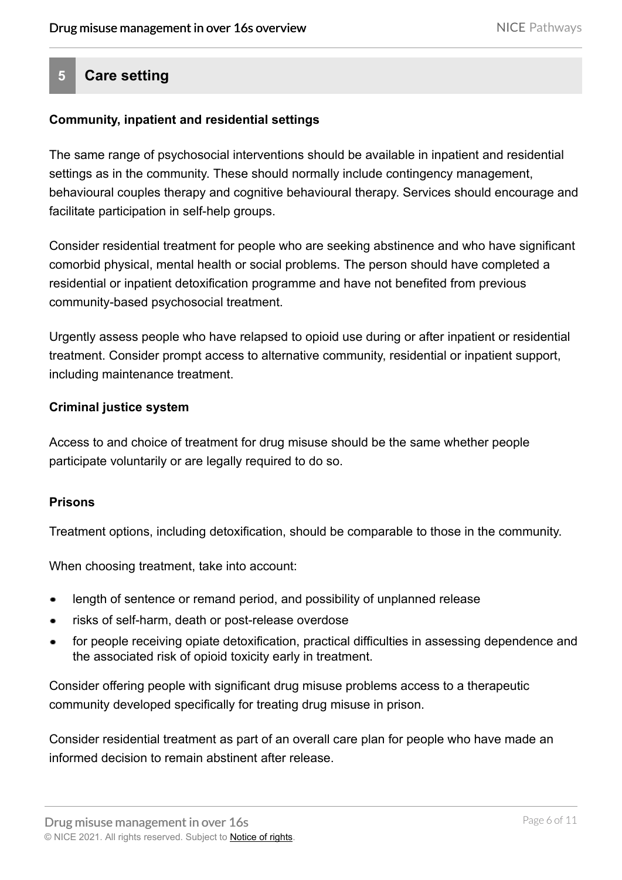# **5 Care setting**

#### **Community, inpatient and residential settings**

The same range of psychosocial interventions should be available in inpatient and residential settings as in the community. These should normally include contingency management, behavioural couples therapy and cognitive behavioural therapy. Services should encourage and facilitate participation in self-help groups.

Consider residential treatment for people who are seeking abstinence and who have significant comorbid physical, mental health or social problems. The person should have completed a residential or inpatient detoxification programme and have not benefited from previous community-based psychosocial treatment.

Urgently assess people who have relapsed to opioid use during or after inpatient or residential treatment. Consider prompt access to alternative community, residential or inpatient support, including maintenance treatment.

#### **Criminal justice system**

Access to and choice of treatment for drug misuse should be the same whether people participate voluntarily or are legally required to do so.

#### **Prisons**

Treatment options, including detoxification, should be comparable to those in the community.

When choosing treatment, take into account:

- length of sentence or remand period, and possibility of unplanned release
- risks of self-harm, death or post-release overdose
- for people receiving opiate detoxification, practical difficulties in assessing dependence and the associated risk of opioid toxicity early in treatment.

Consider offering people with significant drug misuse problems access to a therapeutic community developed specifically for treating drug misuse in prison.

Consider residential treatment as part of an overall care plan for people who have made an informed decision to remain abstinent after release.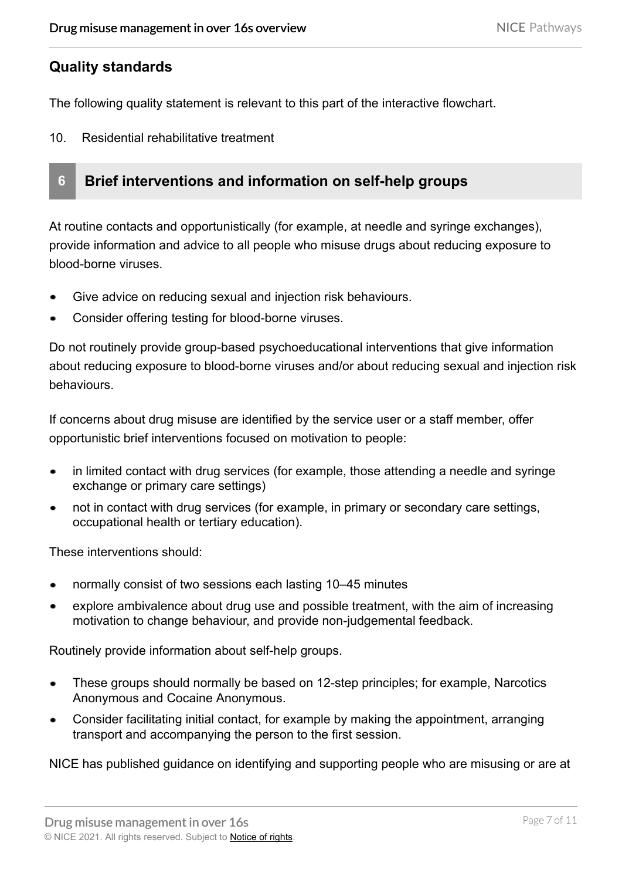## **Quality standards**

The following quality statement is relevant to this part of the interactive flowchart.

10. Residential rehabilitative treatment



At routine contacts and opportunistically (for example, at needle and syringe exchanges), provide information and advice to all people who misuse drugs about reducing exposure to blood-borne viruses.

- Give advice on reducing sexual and injection risk behaviours.
- Consider offering testing for blood-borne viruses.

Do not routinely provide group-based psychoeducational interventions that give information about reducing exposure to blood-borne viruses and/or about reducing sexual and injection risk behaviours.

If concerns about drug misuse are identified by the service user or a staff member, offer opportunistic brief interventions focused on motivation to people:

- in limited contact with drug services (for example, those attending a needle and syringe exchange or primary care settings)
- not in contact with drug services (for example, in primary or secondary care settings, occupational health or tertiary education).

These interventions should:

- normally consist of two sessions each lasting 10–45 minutes
- explore ambivalence about drug use and possible treatment, with the aim of increasing motivation to change behaviour, and provide non-judgemental feedback.

Routinely provide information about self-help groups.

- These groups should normally be based on 12-step principles; for example, Narcotics Anonymous and Cocaine Anonymous.
- Consider facilitating initial contact, for example by making the appointment, arranging transport and accompanying the person to the first session.

NICE has published guidance on identifying and supporting people who are misusing or are at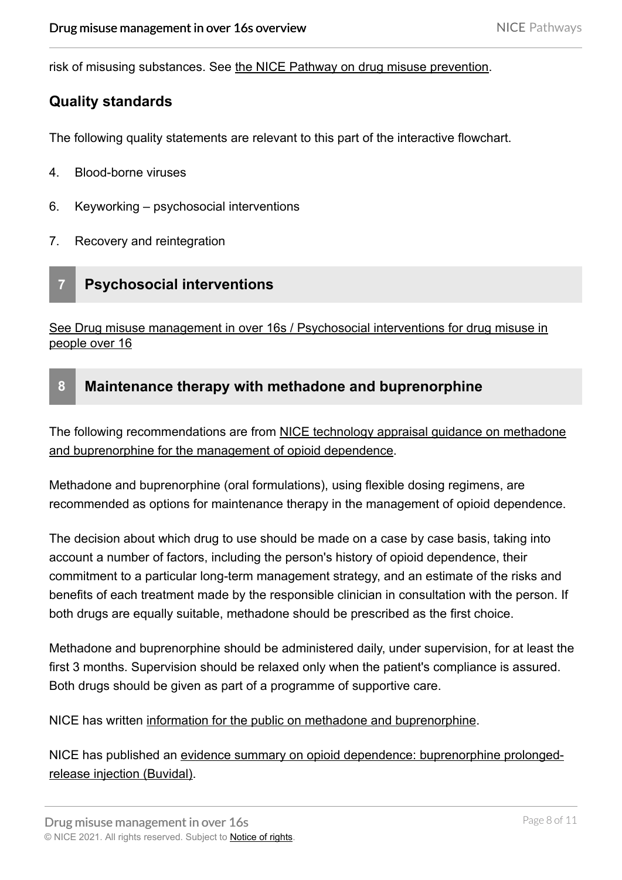risk of misusing substances. See [the NICE Pathway on drug misuse prevention.](https://pathways.nice.org.uk/pathways/drug-misuse-prevention)

## **Quality standards**

The following quality statements are relevant to this part of the interactive flowchart.

- 4. Blood-borne viruses
- 6. Keyworking psychosocial interventions
- 7. Recovery and reintegration

# **7 Psychosocial interventions**

[See Drug misuse management in over 16s / Psychosocial interventions for drug misuse in](https://pathways.nice.org.uk/pathways/drug-misuse-management-in-over-16s/psychosocial-interventions-for-drug-misuse-in-people-over-16)  people over 16

## **8 Maintenance therapy with methadone and buprenorphine**

The following recommendations are from NICE technology appraisal guidance on methadone [and buprenorphine for the management of opioid dependence.](http://www.nice.org.uk/guidance/ta114)

Methadone and buprenorphine (oral formulations), using flexible dosing regimens, are recommended as options for maintenance therapy in the management of opioid dependence.

The decision about which drug to use should be made on a case by case basis, taking into account a number of factors, including the person's history of opioid dependence, their commitment to a particular long-term management strategy, and an estimate of the risks and benefits of each treatment made by the responsible clinician in consultation with the person. If both drugs are equally suitable, methadone should be prescribed as the first choice.

Methadone and buprenorphine should be administered daily, under supervision, for at least the first 3 months. Supervision should be relaxed only when the patient's compliance is assured. Both drugs should be given as part of a programme of supportive care.

NICE has written [information for the public on methadone and buprenorphine.](http://www.nice.org.uk/guidance/ta114/informationforpublic)

NICE has published an [evidence summary on opioid dependence: buprenorphine prolonged](http://www.nice.org.uk/advice/ES19)[release injection \(Buvidal\)](http://www.nice.org.uk/advice/ES19).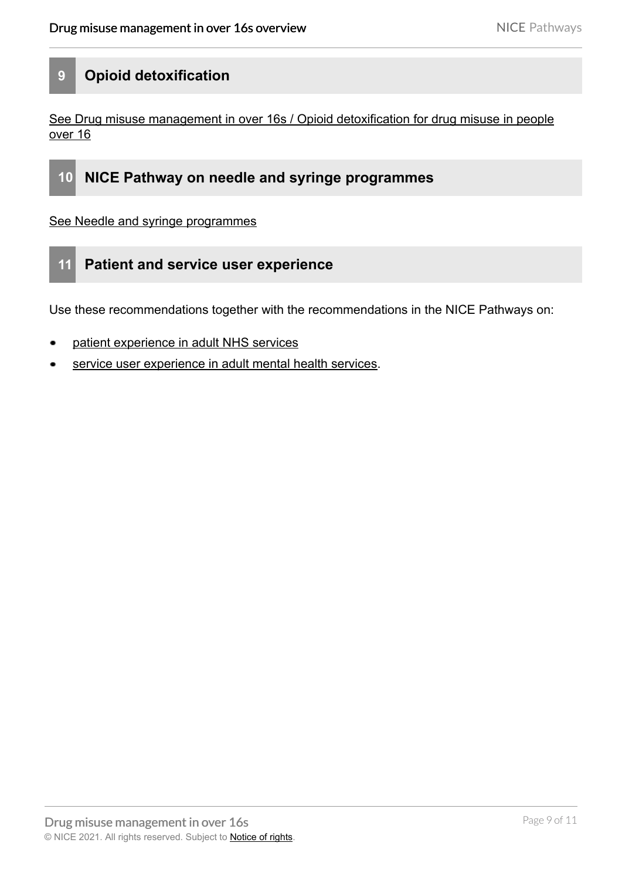# **9 Opioid detoxification**

[See Drug misuse management in over 16s / Opioid detoxification for drug misuse in people](https://pathways.nice.org.uk/pathways/drug-misuse-management-in-over-16s/opioid-detoxification-for-drug-misuse-in-people-over-16)  over 16



[See Needle and syringe programmes](https://pathways.nice.org.uk/pathways/needle-and-syringe-programmes) 

## **11 Patient and service user experience**

Use these recommendations together with the recommendations in the NICE Pathways on:

- [patient experience in adult NHS services](https://pathways.nice.org.uk/pathways/patient-experience-in-adult-nhs-services)
- [service user experience in adult mental health services](https://pathways.nice.org.uk/pathways/service-user-experience-in-adult-mental-health-services).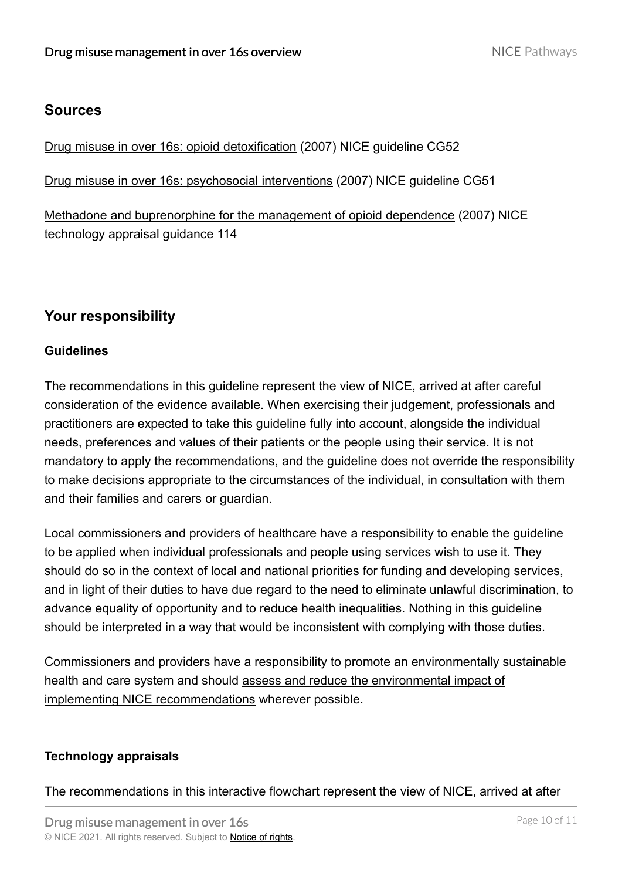# **Sources**

[Drug misuse in over 16s: opioid detoxification](http://www.nice.org.uk/guidance/CG52) (2007) NICE guideline CG52

[Drug misuse in over 16s: psychosocial interventions](http://www.nice.org.uk/guidance/CG51) (2007) NICE guideline CG51

[Methadone and buprenorphine for the management of opioid dependence](http://www.nice.org.uk/guidance/TA114) (2007) NICE technology appraisal guidance 114

# **Your responsibility**

#### **Guidelines**

The recommendations in this guideline represent the view of NICE, arrived at after careful consideration of the evidence available. When exercising their judgement, professionals and practitioners are expected to take this guideline fully into account, alongside the individual needs, preferences and values of their patients or the people using their service. It is not mandatory to apply the recommendations, and the guideline does not override the responsibility to make decisions appropriate to the circumstances of the individual, in consultation with them and their families and carers or guardian.

Local commissioners and providers of healthcare have a responsibility to enable the guideline to be applied when individual professionals and people using services wish to use it. They should do so in the context of local and national priorities for funding and developing services, and in light of their duties to have due regard to the need to eliminate unlawful discrimination, to advance equality of opportunity and to reduce health inequalities. Nothing in this guideline should be interpreted in a way that would be inconsistent with complying with those duties.

Commissioners and providers have a responsibility to promote an environmentally sustainable health and care system and should [assess and reduce the environmental impact of](https://www.nice.org.uk/about/who-we-are/sustainability) [implementing NICE recommendations](https://www.nice.org.uk/about/who-we-are/sustainability) wherever possible.

#### **Technology appraisals**

The recommendations in this interactive flowchart represent the view of NICE, arrived at after